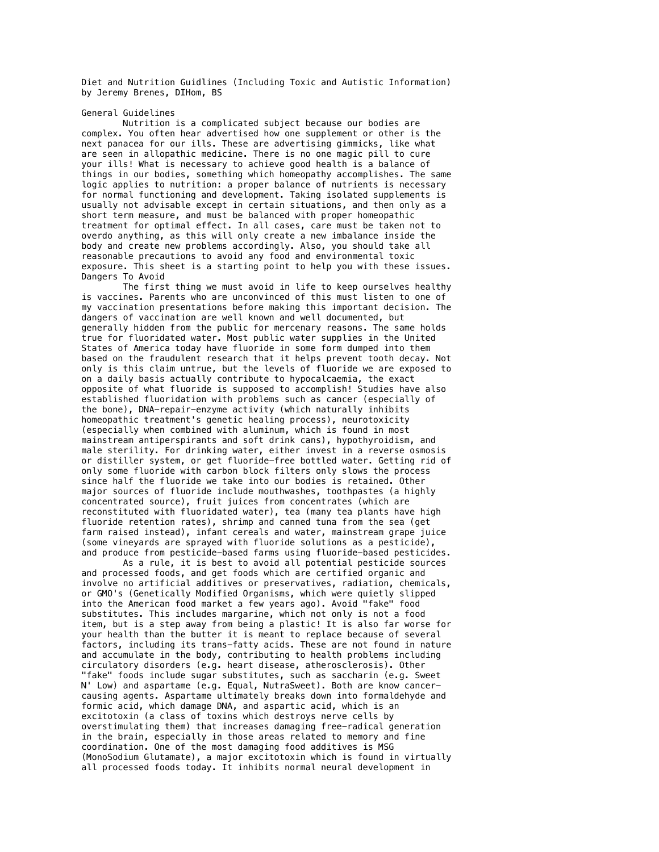Diet and Nutrition Guidlines (Including Toxic and Autistic Information) by Jeremy Brenes, DIHom, BS

General Guidelines

Nutrition is a complicated subject because our bodies are complex. You often hear advertised how one supplement or other is the next panacea for our ills. These are advertising gimmicks, like what are seen in allopathic medicine. There is no one magic pill to cure your ills! What is necessary to achieve good health is a balance of things in our bodies, something which homeopathy accomplishes. The same logic applies to nutrition: a proper balance of nutrients is necessary for normal functioning and development. Taking isolated supplements is usually not advisable except in certain situations, and then only as a short term measure, and must be balanced with proper homeopathic treatment for optimal effect. In all cases, care must be taken not to overdo anything, as this will only create a new imbalance inside the body and create new problems accordingly. Also, you should take all reasonable precautions to avoid any food and environmental toxic exposure. This sheet is a starting point to help you with these issues. Dangers To Avoid

The first thing we must avoid in life to keep ourselves healthy is vaccines. Parents who are unconvinced of this must listen to one of my vaccination presentations before making this important decision. The dangers of vaccination are well known and well documented, but generally hidden from the public for mercenary reasons. The same holds true for fluoridated water. Most public water supplies in the United States of America today have fluoride in some form dumped into them based on the fraudulent research that it helps prevent tooth decay. Not only is this claim untrue, but the levels of fluoride we are exposed to on a daily basis actually contribute to hypocalcaemia, the exact opposite of what fluoride is supposed to accomplish! Studies have also established fluoridation with problems such as cancer (especially of the bone), DNA-repair-enzyme activity (which naturally inhibits homeopathic treatment's genetic healing process), neurotoxicity (especially when combined with aluminum, which is found in most mainstream antiperspirants and soft drink cans), hypothyroidism, and male sterility. For drinking water, either invest in a reverse osmosis or distiller system, or get fluoride-free bottled water. Getting rid of only some fluoride with carbon block filters only slows the process since half the fluoride we take into our bodies is retained. Other major sources of fluoride include mouthwashes, toothpastes (a highly concentrated source), fruit juices from concentrates (which are reconstituted with fluoridated water), tea (many tea plants have high fluoride retention rates), shrimp and canned tuna from the sea (get farm raised instead), infant cereals and water, mainstream grape juice (some vineyards are sprayed with fluoride solutions as a pesticide), and produce from pesticide-based farms using fluoride-based pesticides.

As a rule, it is best to avoid all potential pesticide sources and processed foods, and get foods which are certified organic and involve no artificial additives or preservatives, radiation, chemicals, or GMO's (Genetically Modified Organisms, which were quietly slipped into the American food market a few years ago). Avoid "fake" food substitutes. This includes margarine, which not only is not a food item, but is a step away from being a plastic! It is also far worse for your health than the butter it is meant to replace because of several factors, including its trans-fatty acids. These are not found in nature and accumulate in the body, contributing to health problems including circulatory disorders (e.g. heart disease, atherosclerosis). Other "fake" foods include sugar substitutes, such as saccharin (e.g. Sweet N' Low) and aspartame (e.g. Equal, NutraSweet). Both are know cancercausing agents. Aspartame ultimately breaks down into formaldehyde and formic acid, which damage DNA, and aspartic acid, which is an excitotoxin (a class of toxins which destroys nerve cells by overstimulating them) that increases damaging free-radical generation in the brain, especially in those areas related to memory and fine coordination. One of the most damaging food additives is MSG (MonoSodium Glutamate), a major excitotoxin which is found in virtually all processed foods today. It inhibits normal neural development in